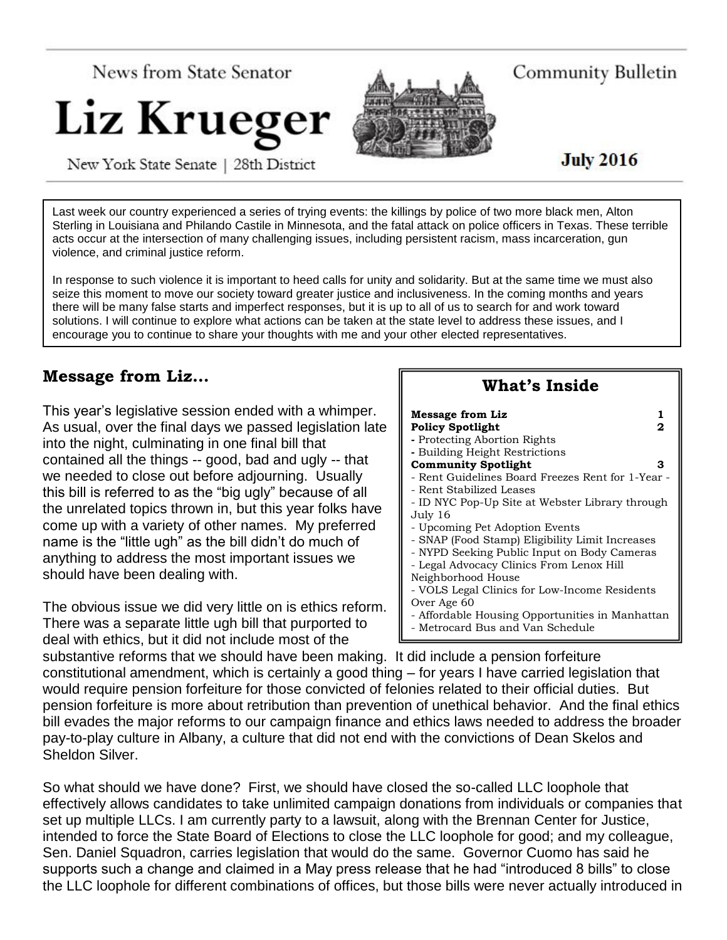

Community Bulletin

**July 2016** 

New York State Senate | 28th District

Last week our country experienced a series of trying events: the killings by police of two more black men, Alton Sterling in Louisiana and Philando Castile in Minnesota, and the fatal attack on police officers in Texas. These terrible acts occur at the intersection of many challenging issues, including persistent racism, mass incarceration, gun violence, and criminal justice reform.

In response to such violence it is important to heed calls for unity and solidarity. But at the same time we must also seize this moment to move our society toward greater justice and inclusiveness. In the coming months and years there will be many false starts and imperfect responses, but it is up to all of us to search for and work toward solutions. I will continue to explore what actions can be taken at the state level to address these issues, and I encourage you to continue to share your thoughts with me and your other elected representatives.

# **Message from Liz…**

This year's legislative session ended with a whimper. As usual, over the final days we passed legislation late into the night, culminating in one final bill that contained all the things -- good, bad and ugly -- that we needed to close out before adjourning. Usually this bill is referred to as the "big ugly" because of all the unrelated topics thrown in, but this year folks have come up with a variety of other names. My preferred name is the "little ugh" as the bill didn't do much of anything to address the most important issues we should have been dealing with.

The obvious issue we did very little on is ethics reform. There was a separate little ugh bill that purported to deal with ethics, but it did not include most of the

| What's Inside                                                                                                                                                                                                                                                                                                                                                                                                           |             |
|-------------------------------------------------------------------------------------------------------------------------------------------------------------------------------------------------------------------------------------------------------------------------------------------------------------------------------------------------------------------------------------------------------------------------|-------------|
| <b>Message from Liz</b><br><b>Policy Spotlight</b><br>- Protecting Abortion Rights<br>- Building Height Restrictions<br><b>Community Spotlight</b><br>- Rent Guidelines Board Freezes Rent for 1-Year -<br>- Rent Stabilized Leases                                                                                                                                                                                     | 1<br>2<br>з |
| - ID NYC Pop-Up Site at Webster Library through<br>July 16<br>- Upcoming Pet Adoption Events<br>- SNAP (Food Stamp) Eligibility Limit Increases<br>- NYPD Seeking Public Input on Body Cameras<br>- Legal Advocacy Clinics From Lenox Hill<br>Neighborhood House<br>- VOLS Legal Clinics for Low-Income Residents<br>Over Age 60<br>- Affordable Housing Opportunities in Manhattan<br>- Metrocard Bus and Van Schedule |             |

substantive reforms that we should have been making. It did include a pension forfeiture constitutional amendment, which is certainly a good thing – for years I have carried legislation that would require pension forfeiture for those convicted of felonies related to their official duties. But pension forfeiture is more about retribution than prevention of unethical behavior. And the final ethics bill evades the major reforms to our campaign finance and ethics laws needed to address the broader pay-to-play culture in Albany, a culture that did not end with the convictions of Dean Skelos and Sheldon Silver.

So what should we have done? First, we should have closed the so-called LLC loophole that effectively allows candidates to take unlimited campaign donations from individuals or companies that set up multiple LLCs. I am currently party to a lawsuit, along with the Brennan Center for Justice, intended to force the State Board of Elections to close the LLC loophole for good; and my colleague, Sen. Daniel Squadron, carries legislation that would do the same. Governor Cuomo has said he supports such a change and claimed in a May press release that he had "introduced 8 bills" to close the LLC loophole for different combinations of offices, but those bills were never actually introduced in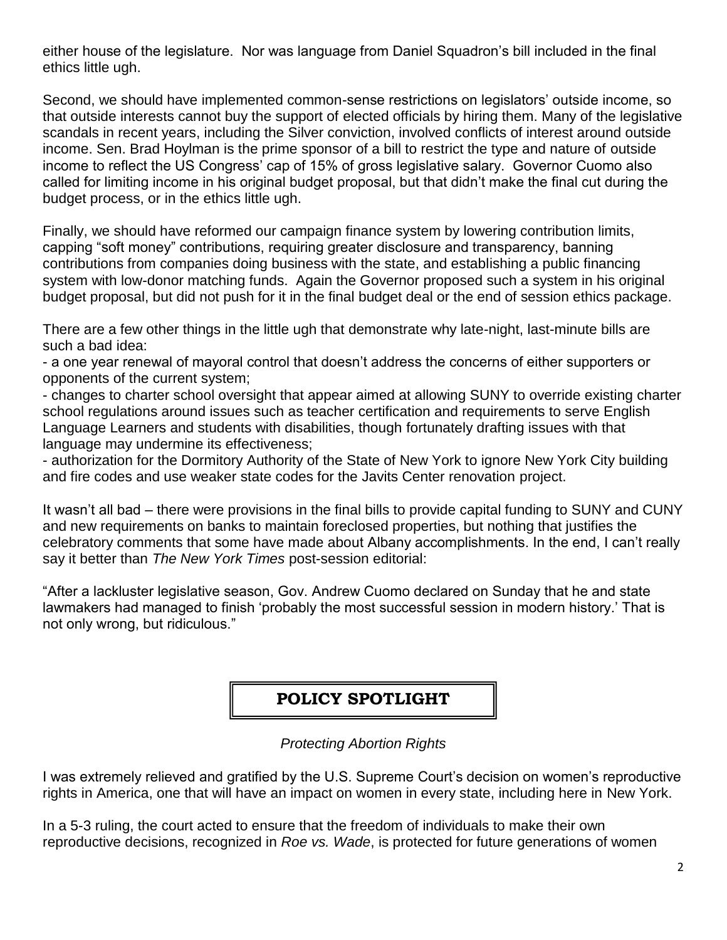either house of the legislature. Nor was language from Daniel Squadron's bill included in the final ethics little ugh.

Second, we should have implemented common-sense restrictions on legislators' outside income, so that outside interests cannot buy the support of elected officials by hiring them. Many of the legislative scandals in recent years, including the Silver conviction, involved conflicts of interest around outside income. Sen. Brad Hoylman is the prime sponsor of a bill to restrict the type and nature of outside income to reflect the US Congress' cap of 15% of gross legislative salary. Governor Cuomo also called for limiting income in his original budget proposal, but that didn't make the final cut during the budget process, or in the ethics little ugh.

Finally, we should have reformed our campaign finance system by lowering contribution limits, capping "soft money" contributions, requiring greater disclosure and transparency, banning contributions from companies doing business with the state, and establishing a public financing system with low-donor matching funds. Again the Governor proposed such a system in his original budget proposal, but did not push for it in the final budget deal or the end of session ethics package.

There are a few other things in the little ugh that demonstrate why late-night, last-minute bills are such a bad idea:

- a one year renewal of mayoral control that doesn't address the concerns of either supporters or opponents of the current system;

- changes to charter school oversight that appear aimed at allowing SUNY to override existing charter school regulations around issues such as teacher certification and requirements to serve English Language Learners and students with disabilities, though fortunately drafting issues with that language may undermine its effectiveness;

- authorization for the Dormitory Authority of the State of New York to ignore New York City building and fire codes and use weaker state codes for the Javits Center renovation project.

It wasn't all bad – there were provisions in the final bills to provide capital funding to SUNY and CUNY and new requirements on banks to maintain foreclosed properties, but nothing that justifies the celebratory comments that some have made about Albany accomplishments. In the end, I can't really say it better than *The New York Times* post-session editorial:

"After a lackluster legislative season, Gov. Andrew Cuomo declared on Sunday that he and state lawmakers had managed to finish 'probably the most successful session in modern history.' That is not only wrong, but ridiculous."

## **POLICY SPOTLIGHT**

#### *Protecting Abortion Rights*

I was extremely relieved and gratified by the U.S. Supreme Court's decision on women's reproductive rights in America, one that will have an impact on women in every state, including here in New York.

In a 5-3 ruling, the court acted to ensure that the freedom of individuals to make their own reproductive decisions, recognized in *Roe vs. Wade*, is protected for future generations of women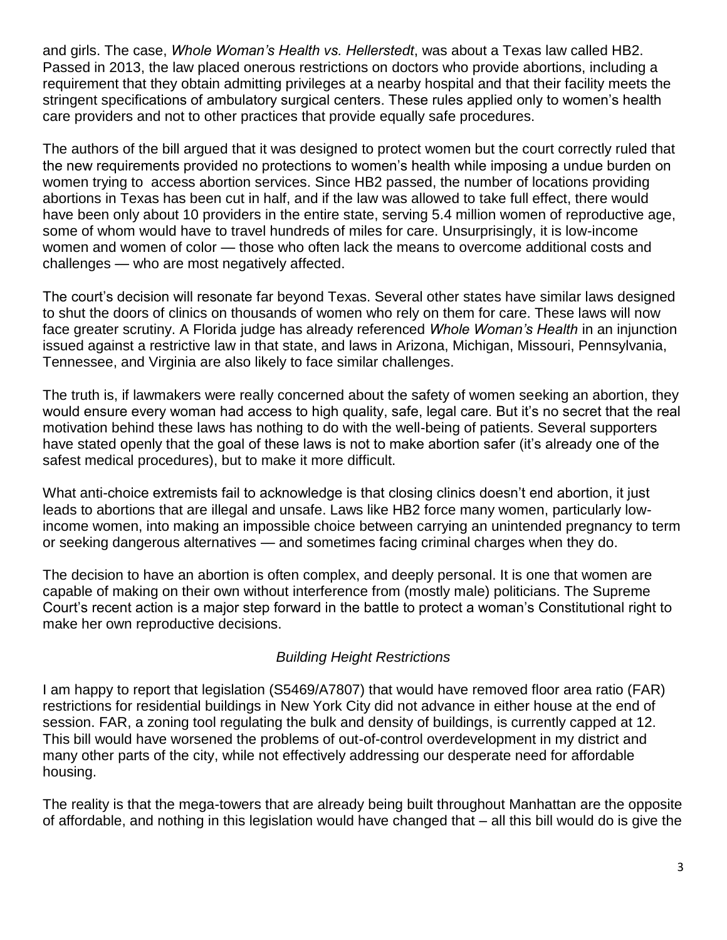and girls. The case, *Whole Woman's Health vs. Hellerstedt*, was about a Texas law called HB2. Passed in 2013, the law placed onerous restrictions on doctors who provide abortions, including a requirement that they obtain admitting privileges at a nearby hospital and that their facility meets the stringent specifications of ambulatory surgical centers. These rules applied only to women's health care providers and not to other practices that provide equally safe procedures.

The authors of the bill argued that it was designed to protect women but the court correctly ruled that the new requirements provided no protections to women's health while imposing a undue burden on women trying to access abortion services. Since HB2 passed, the number of locations providing abortions in Texas has been cut in half, and if the law was allowed to take full effect, there would have been only about 10 providers in the entire state, serving 5.4 million women of reproductive age, some of whom would have to travel hundreds of miles for care. Unsurprisingly, it is low-income women and women of color — those who often lack the means to overcome additional costs and challenges — who are most negatively affected.

The court's decision will resonate far beyond Texas. Several other states have similar laws designed to shut the doors of clinics on thousands of women who rely on them for care. These laws will now face greater scrutiny. A Florida judge has already referenced *Whole Woman's Health* in an injunction issued against a restrictive law in that state, and laws in Arizona, Michigan, Missouri, Pennsylvania, Tennessee, and Virginia are also likely to face similar challenges.

The truth is, if lawmakers were really concerned about the safety of women seeking an abortion, they would ensure every woman had access to high quality, safe, legal care. But it's no secret that the real motivation behind these laws has nothing to do with the well-being of patients. Several supporters have stated openly that the goal of these laws is not to make abortion safer (it's already one of the safest medical procedures), but to make it more difficult.

What anti-choice extremists fail to acknowledge is that closing clinics doesn't end abortion, it just leads to abortions that are illegal and unsafe. Laws like HB2 force many women, particularly lowincome women, into making an impossible choice between carrying an unintended pregnancy to term or seeking dangerous alternatives — and sometimes facing criminal charges when they do.

The decision to have an abortion is often complex, and deeply personal. It is one that women are capable of making on their own without interference from (mostly male) politicians. The Supreme Court's recent action is a major step forward in the battle to protect a woman's Constitutional right to make her own reproductive decisions.

#### *Building Height Restrictions*

I am happy to report that legislation (S5469/A7807) that would have removed floor area ratio (FAR) restrictions for residential buildings in New York City did not advance in either house at the end of session. FAR, a zoning tool regulating the bulk and density of buildings, is currently capped at 12. This bill would have worsened the problems of out-of-control overdevelopment in my district and many other parts of the city, while not effectively addressing our desperate need for affordable housing.

The reality is that the mega-towers that are already being built throughout Manhattan are the opposite of affordable, and nothing in this legislation would have changed that – all this bill would do is give the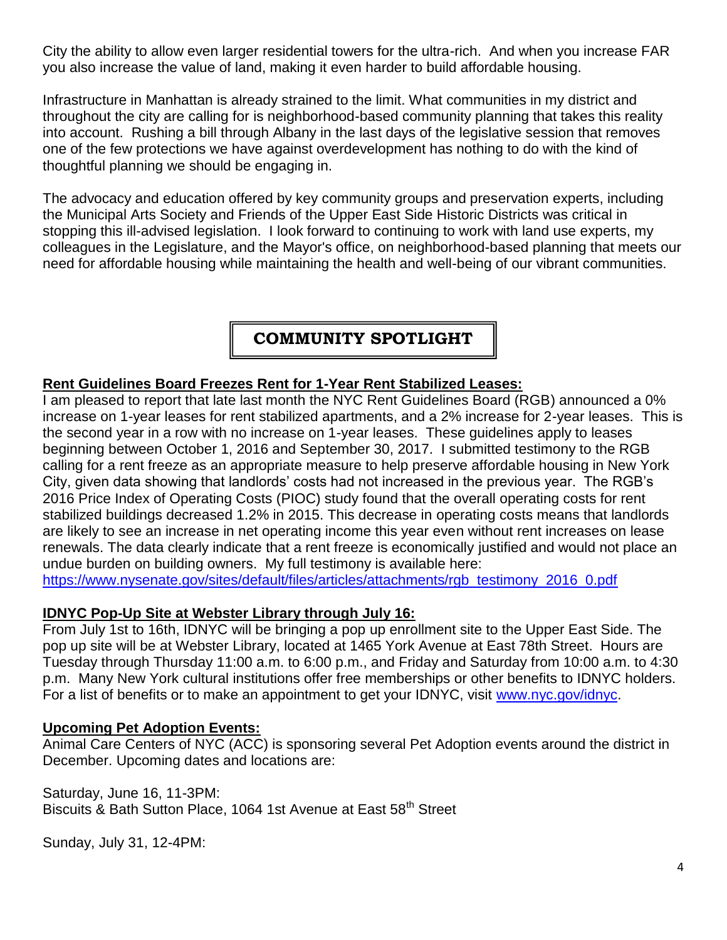City the ability to allow even larger residential towers for the ultra-rich. And when you increase FAR you also increase the value of land, making it even harder to build affordable housing.

Infrastructure in Manhattan is already strained to the limit. What communities in my district and throughout the city are calling for is neighborhood-based community planning that takes this reality into account. Rushing a bill through Albany in the last days of the legislative session that removes one of the few protections we have against overdevelopment has nothing to do with the kind of thoughtful planning we should be engaging in.

The advocacy and education offered by key community groups and preservation experts, including the Municipal Arts Society and Friends of the Upper East Side Historic Districts was critical in stopping this ill-advised legislation. I look forward to continuing to work with land use experts, my colleagues in the Legislature, and the Mayor's office, on neighborhood-based planning that meets our need for affordable housing while maintaining the health and well-being of our vibrant communities.

## **COMMUNITY SPOTLIGHT**

#### **Rent Guidelines Board Freezes Rent for 1-Year Rent Stabilized Leases:**

I am pleased to report that late last month the NYC Rent Guidelines Board (RGB) announced a 0% increase on 1-year leases for rent stabilized apartments, and a 2% increase for 2-year leases. This is the second year in a row with no increase on 1-year leases. These guidelines apply to leases beginning between October 1, 2016 and September 30, 2017. I submitted testimony to the RGB calling for a rent freeze as an appropriate measure to help preserve affordable housing in New York City, given data showing that landlords' costs had not increased in the previous year. The RGB's 2016 Price Index of Operating Costs (PIOC) study found that the overall operating costs for rent stabilized buildings decreased 1.2% in 2015. This decrease in operating costs means that landlords are likely to see an increase in net operating income this year even without rent increases on lease renewals. The data clearly indicate that a rent freeze is economically justified and would not place an undue burden on building owners. My full testimony is available here:

[https://www.nysenate.gov/sites/default/files/articles/attachments/rgb\\_testimony\\_2016\\_0.pdf](https://www.nysenate.gov/sites/default/files/articles/attachments/rgb_testimony_2016_0.pdf)

#### **IDNYC Pop-Up Site at Webster Library through July 16:**

From July 1st to 16th, IDNYC will be bringing a pop up enrollment site to the Upper East Side. The pop up site will be at Webster Library, located at 1465 York Avenue at East 78th Street. Hours are Tuesday through Thursday 11:00 a.m. to 6:00 p.m., and Friday and Saturday from 10:00 a.m. to 4:30 p.m. Many New York cultural institutions offer free memberships or other benefits to IDNYC holders. For a list of benefits or to make an appointment to get your IDNYC, visit [www.nyc.gov/idnyc.](http://www.nyc.gov/idnyc)

#### **Upcoming Pet Adoption Events:**

Animal Care Centers of NYC (ACC) is sponsoring several Pet Adoption events around the district in December. Upcoming dates and locations are:

Saturday, June 16, 11-3PM: Biscuits & Bath Sutton Place, 1064 1st Avenue at East 58<sup>th</sup> Street

Sunday, July 31, 12-4PM: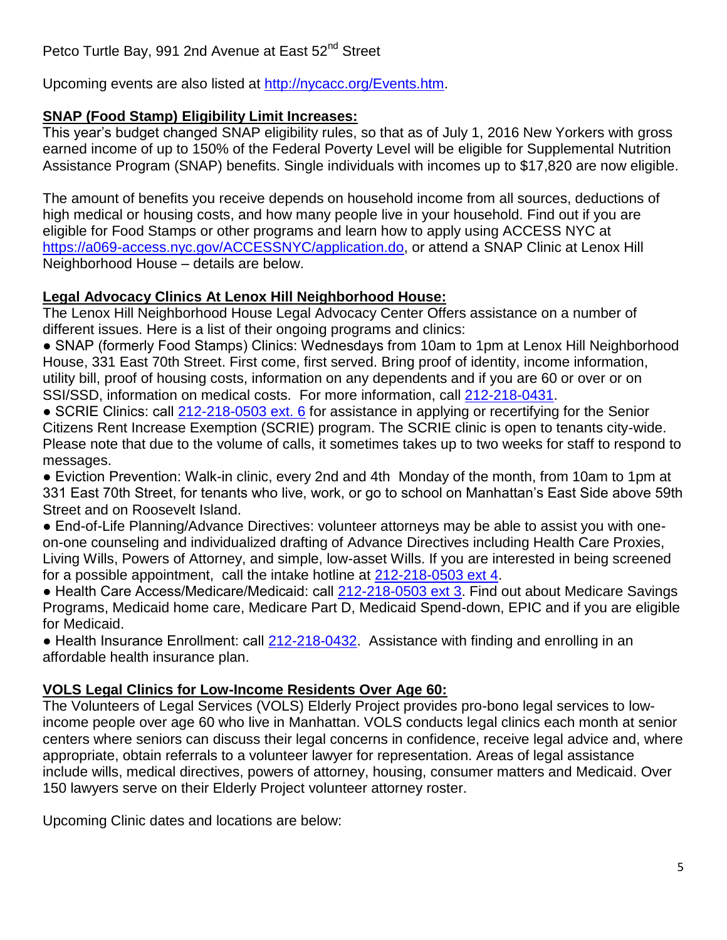Upcoming events are also listed at [http://nycacc.org/Events.htm.](http://nycacc.org/Events.htm)

## **SNAP (Food Stamp) Eligibility Limit Increases:**

This year's budget changed SNAP eligibility rules, so that as of July 1, 2016 New Yorkers with gross earned income of up to 150% of the Federal Poverty Level will be eligible for Supplemental Nutrition Assistance Program (SNAP) benefits. Single individuals with incomes up to \$17,820 are now eligible.

The amount of benefits you receive depends on household income from all sources, deductions of high medical or housing costs, and how many people live in your household. Find out if you are eligible for Food Stamps or other programs and learn how to apply using ACCESS NYC at [https://a069-access.nyc.gov/ACCESSNYC/application.do,](https://a069-access.nyc.gov/ACCESSNYC/application.do) or attend a SNAP Clinic at Lenox Hill Neighborhood House – details are below.

## **Legal Advocacy Clinics At Lenox Hill Neighborhood House:**

The Lenox Hill Neighborhood House Legal Advocacy Center Offers assistance on a number of different issues. Here is a list of their ongoing programs and clinics:

● SNAP (formerly Food Stamps) Clinics: Wednesdays from 10am to 1pm at Lenox Hill Neighborhood House, 331 East 70th Street. First come, first served. Bring proof of identity, income information, utility bill, proof of housing costs, information on any dependents and if you are 60 or over or on SSI/SSD, information on medical costs. For more information, call [212-218-0431.](tel:212-218-0431)

● SCRIE Clinics: call [212-218-0503 ext. 6](tel:212-218-0503%20ext.%206) for assistance in applying or recertifying for the Senior Citizens Rent Increase Exemption (SCRIE) program. The SCRIE clinic is open to tenants city-wide. Please note that due to the volume of calls, it sometimes takes up to two weeks for staff to respond to messages.

● Eviction Prevention: Walk-in clinic, every 2nd and 4th Monday of the month, from 10am to 1pm at 331 East 70th Street, for tenants who live, work, or go to school on Manhattan's East Side above 59th Street and on Roosevelt Island.

● End-of-Life Planning/Advance Directives: volunteer attorneys may be able to assist you with oneon-one counseling and individualized drafting of Advance Directives including Health Care Proxies, Living Wills, Powers of Attorney, and simple, low-asset Wills. If you are interested in being screened for a possible appointment, call the intake hotline at [212-218-0503 ext 4.](tel:212-218-0503%20ext%204)

● Health Care Access/Medicare/Medicaid: call [212-218-0503 ext 3.](tel:212-218-0503%20ext%203) Find out about Medicare Savings Programs, Medicaid home care, Medicare Part D, Medicaid Spend-down, EPIC and if you are eligible for Medicaid.

• Health Insurance Enrollment: call [212-218-0432.](tel:212-218-0432) Assistance with finding and enrolling in an affordable health insurance plan.

## **VOLS Legal Clinics for Low-Income Residents Over Age 60:**

The Volunteers of Legal Services (VOLS) Elderly Project provides pro-bono legal services to lowincome people over age 60 who live in Manhattan. VOLS conducts legal clinics each month at senior centers where seniors can discuss their legal concerns in confidence, receive legal advice and, where appropriate, obtain referrals to a volunteer lawyer for representation. Areas of legal assistance include wills, medical directives, powers of attorney, housing, consumer matters and Medicaid. Over 150 lawyers serve on their Elderly Project volunteer attorney roster.

Upcoming Clinic dates and locations are below: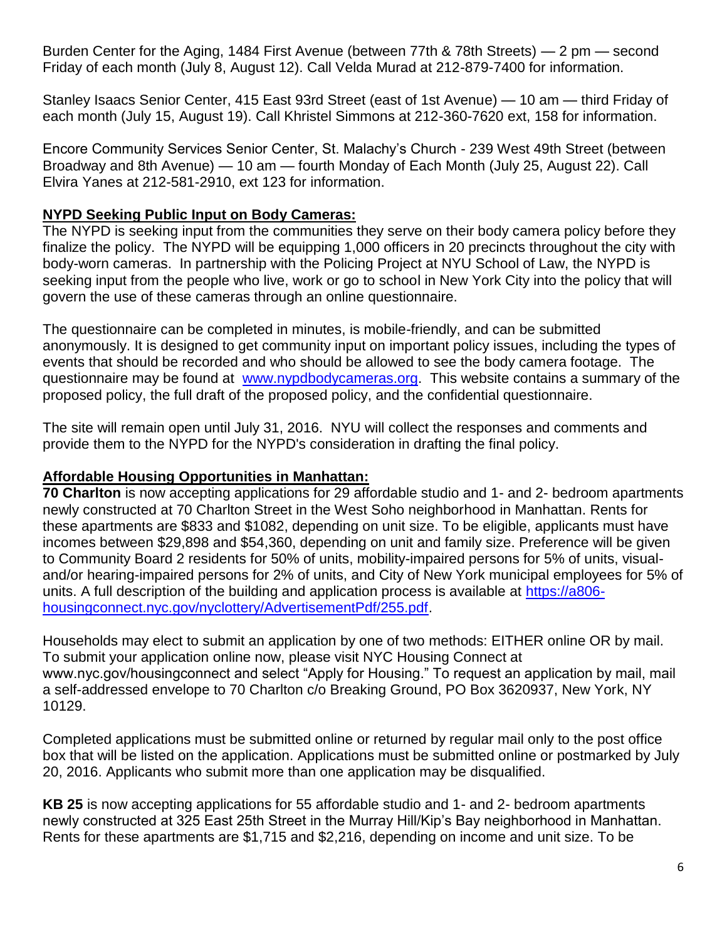Burden Center for the Aging, 1484 First Avenue (between 77th & 78th Streets) — 2 pm — second Friday of each month (July 8, August 12). Call Velda Murad at 212-879-7400 for information.

Stanley Isaacs Senior Center, 415 East 93rd Street (east of 1st Avenue) — 10 am — third Friday of each month (July 15, August 19). Call Khristel Simmons at 212-360-7620 ext, 158 for information.

Encore Community Services Senior Center, St. Malachy's Church - 239 West 49th Street (between Broadway and 8th Avenue) — 10 am — fourth Monday of Each Month (July 25, August 22). Call Elvira Yanes at 212-581-2910, ext 123 for information.

### **NYPD Seeking Public Input on Body Cameras:**

The NYPD is seeking input from the communities they serve on their body camera policy before they finalize the policy. The NYPD will be equipping 1,000 officers in 20 precincts throughout the city with body-worn cameras. In partnership with the Policing Project at NYU School of Law, the NYPD is seeking input from the people who live, work or go to school in New York City into the policy that will govern the use of these cameras through an online questionnaire.

The questionnaire can be completed in minutes, is mobile-friendly, and can be submitted anonymously. It is designed to get community input on important policy issues, including the types of events that should be recorded and who should be allowed to see the body camera footage. The questionnaire may be found at [www.nypdbodycameras.org.](http://www.nypdbodycameras.org/) This website contains a summary of the proposed policy, the full draft of the proposed policy, and the confidential questionnaire.

The site will remain open until July 31, 2016. NYU will collect the responses and comments and provide them to the NYPD for the NYPD's consideration in drafting the final policy.

### **Affordable Housing Opportunities in Manhattan:**

**70 Charlton** is now accepting applications for 29 affordable studio and 1- and 2- bedroom apartments newly constructed at 70 Charlton Street in the West Soho neighborhood in Manhattan. Rents for these apartments are \$833 and \$1082, depending on unit size. To be eligible, applicants must have incomes between \$29,898 and \$54,360, depending on unit and family size. Preference will be given to Community Board 2 residents for 50% of units, mobility-impaired persons for 5% of units, visualand/or hearing-impaired persons for 2% of units, and City of New York municipal employees for 5% of units. A full description of the building and application process is available at [https://a806](https://a806-housingconnect.nyc.gov/nyclottery/AdvertisementPdf/255.pdf) [housingconnect.nyc.gov/nyclottery/AdvertisementPdf/255.pdf.](https://a806-housingconnect.nyc.gov/nyclottery/AdvertisementPdf/255.pdf)

Households may elect to submit an application by one of two methods: EITHER online OR by mail. To submit your application online now, please visit NYC Housing Connect at www.nyc.gov/housingconnect and select "Apply for Housing." To request an application by mail, mail a self-addressed envelope to 70 Charlton c/o Breaking Ground, PO Box 3620937, New York, NY 10129.

Completed applications must be submitted online or returned by regular mail only to the post office box that will be listed on the application. Applications must be submitted online or postmarked by July 20, 2016. Applicants who submit more than one application may be disqualified.

**KB 25** is now accepting applications for 55 affordable studio and 1- and 2- bedroom apartments newly constructed at 325 East 25th Street in the Murray Hill/Kip's Bay neighborhood in Manhattan. Rents for these apartments are \$1,715 and \$2,216, depending on income and unit size. To be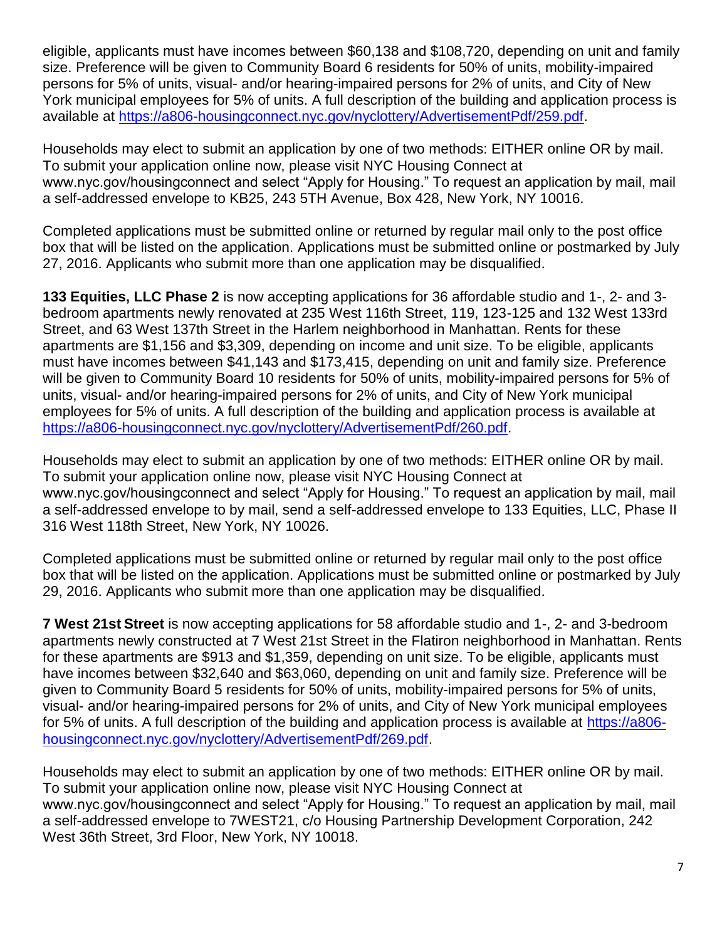eligible, applicants must have incomes between \$60,138 and \$108,720, depending on unit and family size. Preference will be given to Community Board 6 residents for 50% of units, mobility-impaired persons for 5% of units, visual- and/or hearing-impaired persons for 2% of units, and City of New York municipal employees for 5% of units. A full description of the building and application process is available at [https://a806-housingconnect.nyc.gov/nyclottery/AdvertisementPdf/259.pdf.](https://a806-housingconnect.nyc.gov/nyclottery/AdvertisementPdf/259.pdf)

Households may elect to submit an application by one of two methods: EITHER online OR by mail. To submit your application online now, please visit NYC Housing Connect at www.nyc.gov/housingconnect and select "Apply for Housing." To request an application by mail, mail a self-addressed envelope to KB25, 243 5TH Avenue, Box 428, New York, NY 10016.

Completed applications must be submitted online or returned by regular mail only to the post office box that will be listed on the application. Applications must be submitted online or postmarked by July 27, 2016. Applicants who submit more than one application may be disqualified.

**133 Equities, LLC Phase 2** is now accepting applications for 36 affordable studio and 1-, 2- and 3 bedroom apartments newly renovated at 235 West 116th Street, 119, 123-125 and 132 West 133rd Street, and 63 West 137th Street in the Harlem neighborhood in Manhattan. Rents for these apartments are \$1,156 and \$3,309, depending on income and unit size. To be eligible, applicants must have incomes between \$41,143 and \$173,415, depending on unit and family size. Preference will be given to Community Board 10 residents for 50% of units, mobility-impaired persons for 5% of units, visual- and/or hearing-impaired persons for 2% of units, and City of New York municipal employees for 5% of units. A full description of the building and application process is available at [https://a806-housingconnect.nyc.gov/nyclottery/AdvertisementPdf/260.pdf.](https://a806-housingconnect.nyc.gov/nyclottery/AdvertisementPdf/260.pdf)

Households may elect to submit an application by one of two methods: EITHER online OR by mail. To submit your application online now, please visit NYC Housing Connect at www.nyc.gov/housingconnect and select "Apply for Housing." To request an application by mail, mail a self-addressed envelope to by mail, send a self-addressed envelope to 133 Equities, LLC, Phase II 316 West 118th Street, New York, NY 10026.

Completed applications must be submitted online or returned by regular mail only to the post office box that will be listed on the application. Applications must be submitted online or postmarked by July 29, 2016. Applicants who submit more than one application may be disqualified.

**7 West 21st Street** is now accepting applications for 58 affordable studio and 1-, 2- and 3-bedroom apartments newly constructed at 7 West 21st Street in the Flatiron neighborhood in Manhattan. Rents for these apartments are \$913 and \$1,359, depending on unit size. To be eligible, applicants must have incomes between \$32,640 and \$63,060, depending on unit and family size. Preference will be given to Community Board 5 residents for 50% of units, mobility-impaired persons for 5% of units, visual- and/or hearing-impaired persons for 2% of units, and City of New York municipal employees for 5% of units. A full description of the building and application process is available at [https://a806](https://a806-housingconnect.nyc.gov/nyclottery/AdvertisementPdf/269.pdf) [housingconnect.nyc.gov/nyclottery/AdvertisementPdf/269.pdf.](https://a806-housingconnect.nyc.gov/nyclottery/AdvertisementPdf/269.pdf)

Households may elect to submit an application by one of two methods: EITHER online OR by mail. To submit your application online now, please visit NYC Housing Connect at www.nyc.gov/housingconnect and select "Apply for Housing." To request an application by mail, mail a self-addressed envelope to 7WEST21, c/o Housing Partnership Development Corporation, 242 West 36th Street, 3rd Floor, New York, NY 10018.